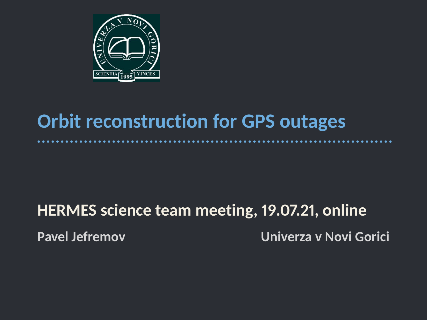

## **Orbit reconstruction for GPS outages**

# **HERMES science team meeting, 19.07.21, online Pavel Jefremov Univerza v Novi Gorici**

. . . . . . . . .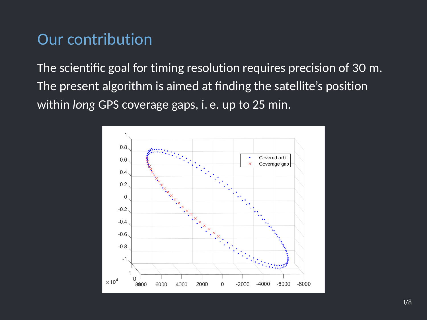#### Our contribution

The scientific goal for timing resolution requires precision of 30 m. The present algorithm is aimed at finding the satellite's position within *long* GPS coverage gaps, i. e. up to 25 min.

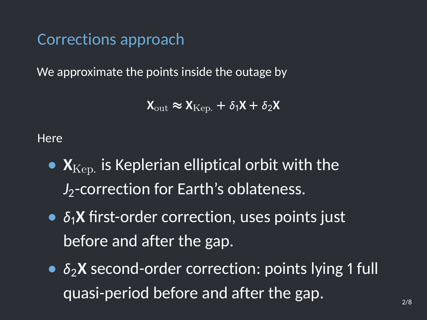Corrections approach

We approximate the points inside the outage by

 $X_{\text{out}} \approx X_{\text{Ken}} + \delta_1 X + \delta_2 X$ 

**Here** 

- $\bullet$   $\mathbf{X}_{\text{Kep.}}$  is Keplerian elliptical orbit with the *J*<sub>2</sub>-correction for Earth's oblateness.
- $\delta_1$ **X** first-order correction, uses points just before and after the gap.
- $\delta_2$ **X** second-order correction: points lying 1 full quasi-period before and after the gap.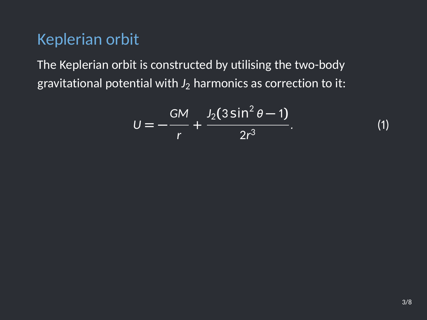#### Keplerian orbit

The Keplerian orbit is constructed by utilising the two-body gravitational potential with  $J_2$  harmonics as correction to it:

$$
U = -\frac{GM}{r} + \frac{J_2(3\sin^2\theta - 1)}{2r^3}.
$$
 (1)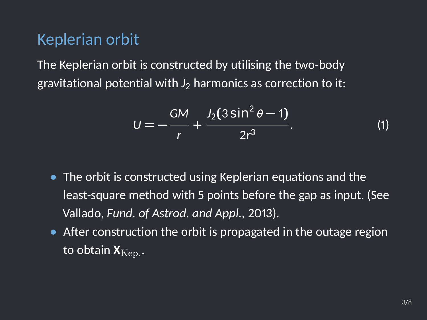#### Keplerian orbit

The Keplerian orbit is constructed by utilising the two-body gravitational potential with  $J_2$  harmonics as correction to it:

$$
U = -\frac{GM}{r} + \frac{J_2(3\sin^2\theta - 1)}{2r^3}.
$$
 (1)

- **•** The orbit is constructed using Keplerian equations and the least-square method with 5 points before the gap as input. (See Vallado, *Fund. of Astrod. and Appl.*, 2013).
- **•** After construction the orbit is propagated in the outage region to obtain  $\bm{\mathsf{X}}_{\text{Kep.}}$  .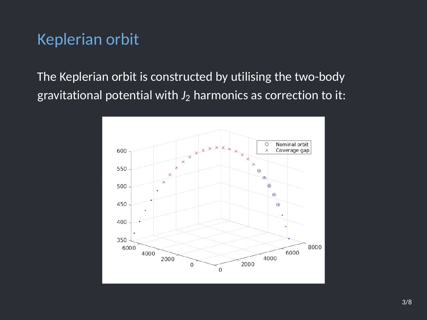### Keplerian orbit

The Keplerian orbit is constructed by utilising the two-body gravitational potential with  $J_2$  harmonics as correction to it:

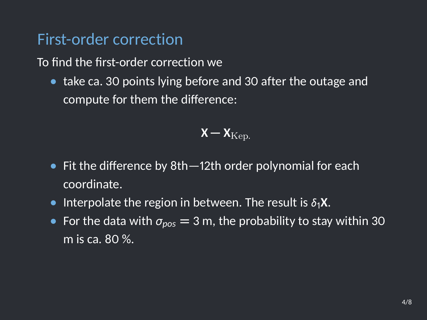#### First-order correction

To find the first-order correction we

**•** take ca. 30 points lying before and 30 after the outage and compute for them the difference:

$$
\mathbf{X}-\mathbf{X}_{\mathrm{Kep.}}
$$

- **•** Fit the difference by 8th—12th order polynomial for each coordinate.
- Interpolate the region in between. The result is  $\delta_1 X$ .
- For the data with  $\sigma_{pos} = 3$  m, the probability t<u>o stay within 30</u> m is ca. 80 %.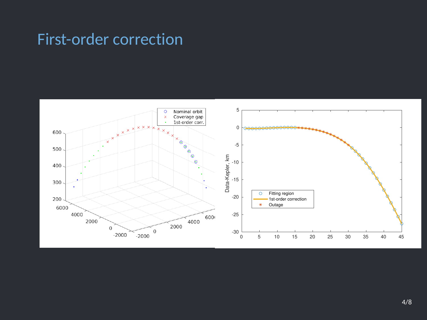### First-order correction

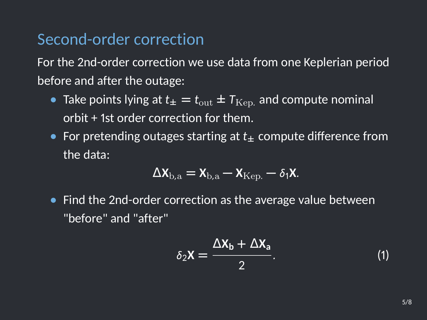#### Second-order correction

For the 2nd-order correction we use data from one Keplerian period before and after the outage:

- Take points lying at  $t_{\pm} = t_{\text{out}} \pm T_{\text{Kep}}$  and compute nominal orbit + 1st order correction for them.
- **•** For pretending outages starting at *t***<sup>±</sup>** compute difference from the data:

$$
\Delta \mathbf{X}_{\mathrm{b},\mathrm{a}} = \mathbf{X}_{\mathrm{b},\mathrm{a}} - \mathbf{X}_{\mathrm{Kep.}} - \delta_1 \mathbf{X}.
$$

**•** Find the 2nd-order correction as the average value between "before" and "after"

$$
\delta_2 \mathbf{X} = \frac{\Delta \mathbf{X}_b + \Delta \mathbf{X}_a}{2}.
$$
 (1)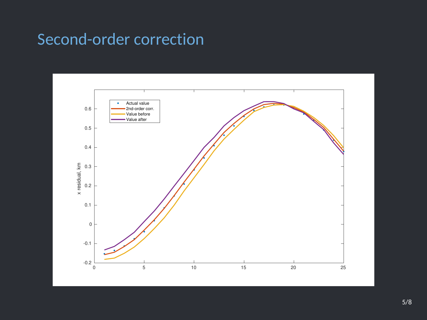### Second-order correction

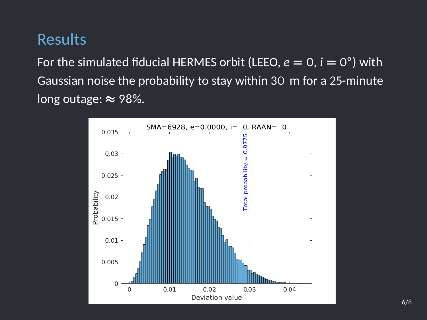#### Results

For the simulated fiducial HERMES orbit (LEEO,  $e = 0$ ,  $i = 0^{\circ}$ ) with Gaussian noise the probability to stay within 30 m for a 25-minute long outage: **≈** 98%.

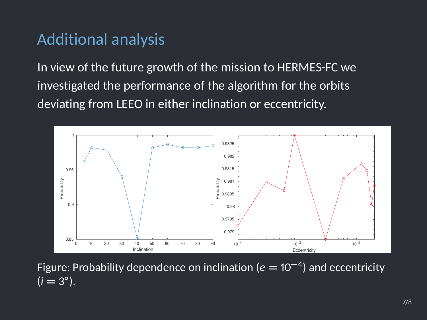### Additional analysis

In view of the future growth of the mission to HERMES-FC we investigated the performance of the algorithm for the orbits deviating from LEEO in either inclination or eccentricity.



Figure: Probability dependence on inclination (*<sup>e</sup>* **<sup>=</sup>** <sup>10</sup>**<sup>−</sup>**<sup>4</sup> ) and eccentricity  $(i = 3^{\circ}).$